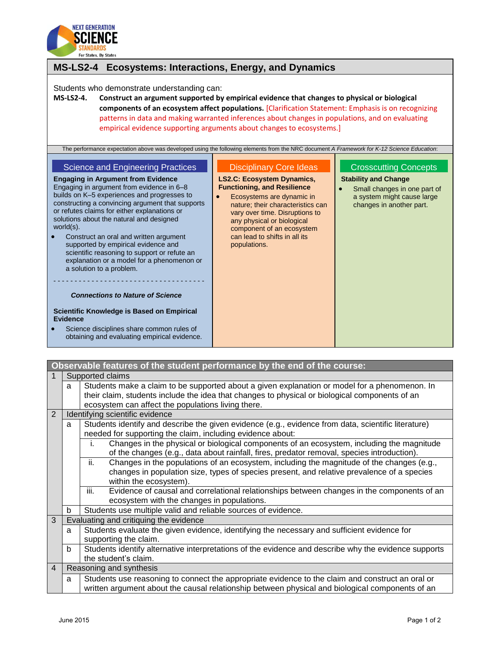

| MS-LS2-4 Ecosystems: Interactions, Energy, and Dynamics                                                                                                                                                                                                                                                                                                                                                                                                                                                                                                                                                                                                                                                                                                                                                                                                                                                       |                                                                                                                                                                                                                                                                                                                           |                                                                                                                                                       |
|---------------------------------------------------------------------------------------------------------------------------------------------------------------------------------------------------------------------------------------------------------------------------------------------------------------------------------------------------------------------------------------------------------------------------------------------------------------------------------------------------------------------------------------------------------------------------------------------------------------------------------------------------------------------------------------------------------------------------------------------------------------------------------------------------------------------------------------------------------------------------------------------------------------|---------------------------------------------------------------------------------------------------------------------------------------------------------------------------------------------------------------------------------------------------------------------------------------------------------------------------|-------------------------------------------------------------------------------------------------------------------------------------------------------|
| Students who demonstrate understanding can:<br>Construct an argument supported by empirical evidence that changes to physical or biological<br><b>MS-LS2-4.</b><br>components of an ecosystem affect populations. [Clarification Statement: Emphasis is on recognizing<br>patterns in data and making warranted inferences about changes in populations, and on evaluating<br>empirical evidence supporting arguments about changes to ecosystems.]                                                                                                                                                                                                                                                                                                                                                                                                                                                           |                                                                                                                                                                                                                                                                                                                           |                                                                                                                                                       |
| The performance expectation above was developed using the following elements from the NRC document A Framework for K-12 Science Education:<br><b>Science and Engineering Practices</b><br><b>Engaging in Argument from Evidence</b><br>Engaging in argument from evidence in 6-8<br>builds on K-5 experiences and progresses to<br>constructing a convincing argument that supports<br>or refutes claims for either explanations or<br>solutions about the natural and designed<br>world $(s)$ .<br>Construct an oral and written argument<br>supported by empirical evidence and<br>scientific reasoning to support or refute an<br>explanation or a model for a phenomenon or<br>a solution to a problem.<br><b>Connections to Nature of Science</b><br>Scientific Knowledge is Based on Empirical<br>Evidence<br>Science disciplines share common rules of<br>obtaining and evaluating empirical evidence. | <b>Disciplinary Core Ideas</b><br><b>LS2.C: Ecosystem Dynamics,</b><br><b>Functioning, and Resilience</b><br>Ecosystems are dynamic in<br>nature; their characteristics can<br>vary over time. Disruptions to<br>any physical or biological<br>component of an ecosystem<br>can lead to shifts in all its<br>populations. | <b>Crosscutting Concepts</b><br><b>Stability and Change</b><br>Small changes in one part of<br>a system might cause large<br>changes in another part. |

| Observable features of the student performance by the end of the course: |                                                                                                          |                                                                                                                                                                                               |  |  |  |
|--------------------------------------------------------------------------|----------------------------------------------------------------------------------------------------------|-----------------------------------------------------------------------------------------------------------------------------------------------------------------------------------------------|--|--|--|
| 1                                                                        | Supported claims                                                                                         |                                                                                                                                                                                               |  |  |  |
|                                                                          | a                                                                                                        | Students make a claim to be supported about a given explanation or model for a phenomenon. In                                                                                                 |  |  |  |
|                                                                          |                                                                                                          | their claim, students include the idea that changes to physical or biological components of an                                                                                                |  |  |  |
|                                                                          |                                                                                                          | ecosystem can affect the populations living there.                                                                                                                                            |  |  |  |
| 2                                                                        | Identifying scientific evidence                                                                          |                                                                                                                                                                                               |  |  |  |
|                                                                          | Students identify and describe the given evidence (e.g., evidence from data, scientific literature)<br>a |                                                                                                                                                                                               |  |  |  |
| needed for supporting the claim, including evidence about:               |                                                                                                          |                                                                                                                                                                                               |  |  |  |
|                                                                          |                                                                                                          | Changes in the physical or biological components of an ecosystem, including the magnitude<br>İ.<br>of the changes (e.g., data about rainfall, fires, predator removal, species introduction). |  |  |  |
|                                                                          |                                                                                                          | Changes in the populations of an ecosystem, including the magnitude of the changes (e.g.,<br>ii.                                                                                              |  |  |  |
|                                                                          |                                                                                                          | changes in population size, types of species present, and relative prevalence of a species                                                                                                    |  |  |  |
|                                                                          |                                                                                                          | within the ecosystem).                                                                                                                                                                        |  |  |  |
|                                                                          |                                                                                                          | Evidence of causal and correlational relationships between changes in the components of an<br>iii.                                                                                            |  |  |  |
|                                                                          |                                                                                                          | ecosystem with the changes in populations.                                                                                                                                                    |  |  |  |
|                                                                          | b                                                                                                        | Students use multiple valid and reliable sources of evidence.                                                                                                                                 |  |  |  |
| 3                                                                        | Evaluating and critiquing the evidence                                                                   |                                                                                                                                                                                               |  |  |  |
|                                                                          | a                                                                                                        | Students evaluate the given evidence, identifying the necessary and sufficient evidence for                                                                                                   |  |  |  |
|                                                                          |                                                                                                          | supporting the claim.                                                                                                                                                                         |  |  |  |
|                                                                          | b                                                                                                        | Students identify alternative interpretations of the evidence and describe why the evidence supports                                                                                          |  |  |  |
|                                                                          |                                                                                                          | the student's claim.                                                                                                                                                                          |  |  |  |
| $\overline{4}$                                                           |                                                                                                          | Reasoning and synthesis                                                                                                                                                                       |  |  |  |
|                                                                          | a                                                                                                        | Students use reasoning to connect the appropriate evidence to the claim and construct an oral or                                                                                              |  |  |  |
|                                                                          |                                                                                                          | written argument about the causal relationship between physical and biological components of an                                                                                               |  |  |  |
|                                                                          |                                                                                                          |                                                                                                                                                                                               |  |  |  |